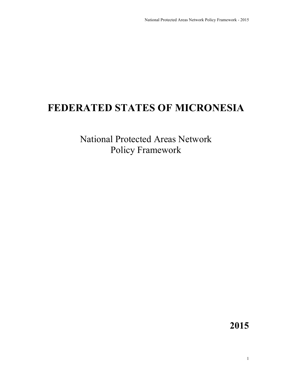# **FEDERATED STATES OF MICRONESIA**

National Protected Areas Network Policy Framework

**2015**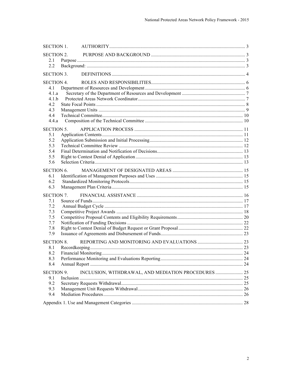| <b>SECTION 1.</b> |                                                     |  |  |
|-------------------|-----------------------------------------------------|--|--|
| SECTION 2.        |                                                     |  |  |
| 2.1               |                                                     |  |  |
| 2.2               |                                                     |  |  |
| <b>SECTION 3.</b> |                                                     |  |  |
|                   |                                                     |  |  |
| <b>SECTION 4.</b> |                                                     |  |  |
| 4.1               |                                                     |  |  |
| 4.1.a             |                                                     |  |  |
| 4.1.h             |                                                     |  |  |
| 4.2               |                                                     |  |  |
| 4.3<br>4.4        |                                                     |  |  |
| 4.4.a             |                                                     |  |  |
|                   |                                                     |  |  |
| <b>SECTION 5.</b> |                                                     |  |  |
| 5.1               |                                                     |  |  |
| 5.2               |                                                     |  |  |
| 5.3               |                                                     |  |  |
| 5.4               |                                                     |  |  |
| 5.5               |                                                     |  |  |
| 5.6               |                                                     |  |  |
| <b>SECTION 6.</b> |                                                     |  |  |
| 6.1               |                                                     |  |  |
| 6.2               |                                                     |  |  |
| 6.3               |                                                     |  |  |
| <b>SECTION 7.</b> |                                                     |  |  |
| 7.1               |                                                     |  |  |
| 7.2               |                                                     |  |  |
| 7.3               |                                                     |  |  |
| 7.5               |                                                     |  |  |
| 7.7               |                                                     |  |  |
| 7.8               |                                                     |  |  |
| 7.9               |                                                     |  |  |
| <b>SECTION 8.</b> |                                                     |  |  |
| 8.1               |                                                     |  |  |
| 8.2               |                                                     |  |  |
| 8.3               |                                                     |  |  |
| 8.4               |                                                     |  |  |
| <b>SECTION 9.</b> | INCLUSION, WITHDRAWAL, AND MEDIATION PROCEDURES  25 |  |  |
| 9.1               |                                                     |  |  |
| 9.2               |                                                     |  |  |
| 9.3               |                                                     |  |  |
| 9.4               |                                                     |  |  |
|                   |                                                     |  |  |
|                   |                                                     |  |  |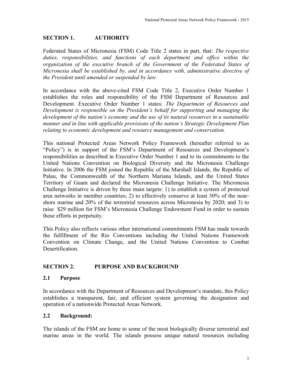# **SECTION 1. AUTHORITY**

Federated States of Micronesia (FSM) Code Title 2 states in part, that: *The respective duties, responsibilities, and functions of each department and office within the organization of the executive branch of the Government of the Federated States of Micronesia shall be established by, and in accordance with, administrative directive of the President until amended or suspended by law.*

In accordance with the above-cited FSM Code Title 2, Executive Order Number 1 establishes the roles and responsibility of the FSM Department of Resources and Development. Executive Order Number 1 states: *The Department of Resources and Development is responsible on the President's behalf for supporting and managing the development of the nation's economy and the use of its natural resources in a sustainable manner and in line with applicable provisions of the nation's Strategic Development Plan relating to economic development and resource management and conservation.*

This national Protected Areas Network Policy Framework (hereafter referred to as "Policy") is in support of the FSM's Department of Resources and Development's responsibilities as described in Executive Order Number 1 and to its commitments to the United Nations Convention on Biological Diversity and the Micronesia Challenge Initiative. In 2006 the FSM joined the Republic of the Marshall Islands, the Republic of Palau, the Commonwealth of the Northern Mariana Islands, and the United States Territory of Guam and declared the Micronesia Challenge Initiative. The Micronesia Challenge Initiative is driven by three main targets: 1) to establish a system of protected area networks in member countries; 2) to effectively conserve at least 30% of the nearshore marine and 20% of the terrestrial resources across Micronesia by 2020; and 3) to raise \$29 million for FSM's Micronesia Challenge Endowment Fund in order to sustain these efforts in perpetuity.

This Policy also reflects various other international commitments FSM has made towards the fulfillment of the Rio Conventions including the United Nations Framework Convention on Climate Change, and the United Nations Convention to Combat **Desertification** 

## **SECTION 2. PURPOSE AND BACKGROUND**

## **2.1 Purpose**

In accordance with the Department of Resources and Development's mandate, this Policy establishes a transparent, fair, and efficient system governing the designation and operation of a nationwide Protected Areas Network.

#### **2.2 Background:**

The islands of the FSM are home to some of the most biologically diverse terrestrial and marine areas in the world. The islands possess unique natural resources including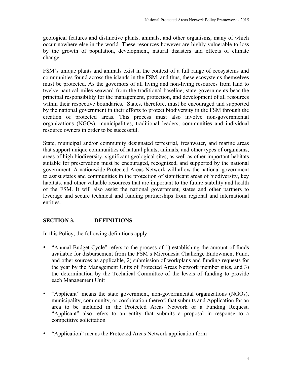geological features and distinctive plants, animals, and other organisms, many of which occur nowhere else in the world. These resources however are highly vulnerable to loss by the growth of population, development, natural disasters and effects of climate change.

FSM's unique plants and animals exist in the context of a full range of ecosystems and communities found across the islands in the FSM, and thus, these ecosystems themselves must be protected. As the governors of all living and non-living resources from land to twelve nautical miles seaward from the traditional baseline, state governments bear the principal responsibility for the management, protection, and development of all resources within their respective boundaries. States, therefore, must be encouraged and supported by the national government in their efforts to protect biodiversity in the FSM through the creation of protected areas. This process must also involve non-governmental organizations (NGOs), municipalities, traditional leaders, communities and individual resource owners in order to be successful.

State, municipal and/or community designated terrestrial, freshwater, and marine areas that support unique communities of natural plants, animals, and other types of organisms, areas of high biodiversity, significant geological sites, as well as other important habitats suitable for preservation must be encouraged, recognized, and supported by the national government. A nationwide Protected Areas Network will allow the national government to assist states and communities in the protection of significant areas of biodiversity, key habitats, and other valuable resources that are important to the future stability and health of the FSM. It will also assist the national government, states and other partners to leverage and secure technical and funding partnerships from regional and international entities.

# **SECTION 3. DEFINITIONS**

In this Policy, the following definitions apply:

- "Annual Budget Cycle" refers to the process of 1) establishing the amount of funds available for disbursement from the FSM's Micronesia Challenge Endowment Fund, and other sources as applicable, 2) submission of workplans and funding requests for the year by the Management Units of Protected Areas Network member sites, and 3) the determination by the Technical Committee of the levels of funding to provide each Management Unit
- "Applicant" means the state government, non-governmental organizations (NGOs), municipality, community, or combination thereof, that submits and Application for an area to be included in the Protected Areas Network or a Funding Request. "Applicant" also refers to an entity that submits a proposal in response to a competitive solicitation
- "Application" means the Protected Areas Network application form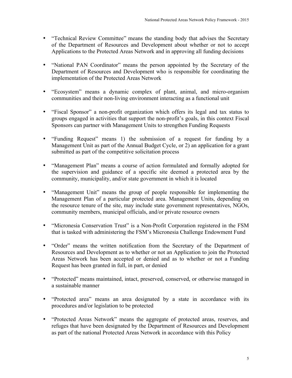- "Technical Review Committee" means the standing body that advises the Secretary of the Department of Resources and Development about whether or not to accept Applications to the Protected Areas Network and in approving all funding decisions
- "National PAN Coordinator" means the person appointed by the Secretary of the Department of Resources and Development who is responsible for coordinating the implementation of the Protected Areas Network
- "Ecosystem" means a dynamic complex of plant, animal, and micro-organism communities and their non-living environment interacting as a functional unit
- "Fiscal Sponsor" a non-profit organization which offers its legal and tax status to groups engaged in activities that support the non-profit's goals, in this context Fiscal Sponsors can partner with Management Units to strengthen Funding Requests
- "Funding Request" means 1) the submission of a request for funding by a Management Unit as part of the Annual Budget Cycle, or 2) an application for a grant submitted as part of the competitive solicitation process
- "Management Plan" means a course of action formulated and formally adopted for the supervision and guidance of a specific site deemed a protected area by the community, municipality, and/or state government in which it is located
- "Management Unit" means the group of people responsible for implementing the Management Plan of a particular protected area. Management Units, depending on the resource tenure of the site, may include state government representatives, NGOs, community members, municipal officials, and/or private resource owners
- "Micronesia Conservation Trust" is a Non-Profit Corporation registered in the FSM that is tasked with administering the FSM's Micronesia Challenge Endowment Fund
- "Order" means the written notification from the Secretary of the Department of Resources and Development as to whether or not an Application to join the Protected Areas Network has been accepted or denied and as to whether or not a Funding Request has been granted in full, in part, or denied
- "Protected" means maintained, intact, preserved, conserved, or otherwise managed in a sustainable manner
- "Protected area" means an area designated by a state in accordance with its procedures and/or legislation to be protected
- "Protected Areas Network" means the aggregate of protected areas, reserves, and refuges that have been designated by the Department of Resources and Development as part of the national Protected Areas Network in accordance with this Policy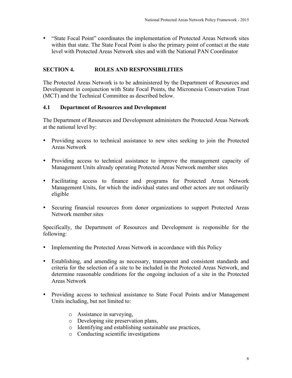• "State Focal Point" coordinates the implementation of Protected Areas Network sites within that state. The State Focal Point is also the primary point of contact at the state level with Protected Areas Network sites and with the National PAN Coordinator

## **SECTION 4. ROLES AND RESPONSIBILITIES**

The Protected Areas Network is to be administered by the Department of Resources and Development in conjunction with State Focal Points, the Micronesia Conservation Trust (MCT) and the Technical Committee as described below.

#### **4.1 Department of Resources and Development**

The Department of Resources and Development administers the Protected Areas Network at the national level by:

- Providing access to technical assistance to new sites seeking to join the Protected Areas Network
- Providing access to technical assistance to improve the management capacity of Management Units already operating Protected Areas Network member sites
- Facilitating access to finance and programs for Protected Areas Network Management Units, for which the individual states and other actors are not ordinarily eligible
- Securing financial resources from donor organizations to support Protected Areas Network member sites

Specifically, the Department of Resources and Development is responsible for the following:

- Implementing the Protected Areas Network in accordance with this Policy
- Establishing, and amending as necessary, transparent and consistent standards and criteria for the selection of a site to be included in the Protected Areas Network, and determine reasonable conditions for the ongoing inclusion of a site in the Protected Areas Network
- Providing access to technical assistance to State Focal Points and/or Management Units including, but not limited to:
	- o Assistance in surveying,
	- o Developing site preservation plans,
	- o Identifying and establishing sustainable use practices,
	- o Conducting scientific investigations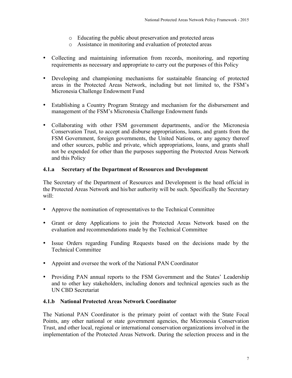- o Educating the public about preservation and protected areas
- o Assistance in monitoring and evaluation of protected areas
- Collecting and maintaining information from records, monitoring, and reporting requirements as necessary and appropriate to carry out the purposes of this Policy
- Developing and championing mechanisms for sustainable financing of protected areas in the Protected Areas Network, including but not limited to, the FSM's Micronesia Challenge Endowment Fund
- Establishing a Country Program Strategy and mechanism for the disbursement and management of the FSM's Micronesia Challenge Endowment funds
- Collaborating with other FSM government departments, and/or the Micronesia Conservation Trust, to accept and disburse appropriations, loans, and grants from the FSM Government, foreign governments, the United Nations, or any agency thereof and other sources, public and private, which appropriations, loans, and grants shall not be expended for other than the purposes supporting the Protected Areas Network and this Policy

## **4.1.a Secretary of the Department of Resources and Development**

The Secretary of the Department of Resources and Development is the head official in the Protected Areas Network and his/her authority will be such. Specifically the Secretary will:

- Approve the nomination of representatives to the Technical Committee
- Grant or deny Applications to join the Protected Areas Network based on the evaluation and recommendations made by the Technical Committee
- Issue Orders regarding Funding Requests based on the decisions made by the Technical Committee
- Appoint and oversee the work of the National PAN Coordinator
- Providing PAN annual reports to the FSM Government and the States' Leadership and to other key stakeholders, including donors and technical agencies such as the UN CBD Secretariat

## **4.1.b National Protected Areas Network Coordinator**

The National PAN Coordinator is the primary point of contact with the State Focal Points, any other national or state government agencies, the Micronesia Conservation Trust, and other local, regional or international conservation organizations involved in the implementation of the Protected Areas Network. During the selection process and in the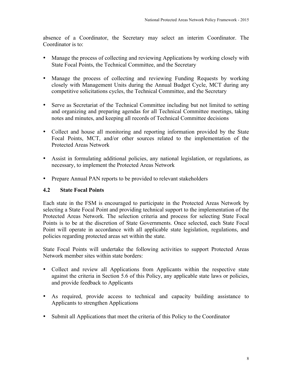absence of a Coordinator, the Secretary may select an interim Coordinator. The Coordinator is to:

- Manage the process of collecting and reviewing Applications by working closely with State Focal Points, the Technical Committee, and the Secretary
- Manage the process of collecting and reviewing Funding Requests by working closely with Management Units during the Annual Budget Cycle, MCT during any competitive solicitations cycles, the Technical Committee, and the Secretary
- Serve as Secretariat of the Technical Committee including but not limited to setting and organizing and preparing agendas for all Technical Committee meetings, taking notes and minutes, and keeping all records of Technical Committee decisions
- Collect and house all monitoring and reporting information provided by the State Focal Points, MCT, and/or other sources related to the implementation of the Protected Areas Network
- Assist in formulating additional policies, any national legislation, or regulations, as necessary, to implement the Protected Areas Network
- Prepare Annual PAN reports to be provided to relevant stakeholders

## **4.2 State Focal Points**

Each state in the FSM is encouraged to participate in the Protected Areas Network by selecting a State Focal Point and providing technical support to the implementation of the Protected Areas Network. The selection criteria and process for selecting State Focal Points is to be at the discretion of State Governments. Once selected, each State Focal Point will operate in accordance with all applicable state legislation, regulations, and policies regarding protected areas set within the state.

State Focal Points will undertake the following activities to support Protected Areas Network member sites within state borders:

- Collect and review all Applications from Applicants within the respective state against the criteria in Section 5.6 of this Policy, any applicable state laws or policies, and provide feedback to Applicants
- As required, provide access to technical and capacity building assistance to Applicants to strengthen Applications
- Submit all Applications that meet the criteria of this Policy to the Coordinator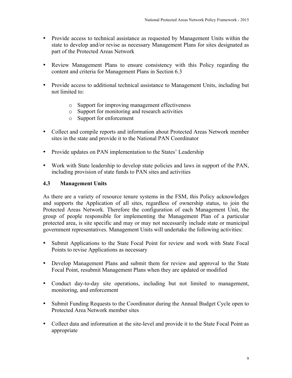- Provide access to technical assistance as requested by Management Units within the state to develop and/or revise as necessary Management Plans for sites designated as part of the Protected Areas Network
- Review Management Plans to ensure consistency with this Policy regarding the content and criteria for Management Plans in Section 6.3
- Provide access to additional technical assistance to Management Units, including but not limited to:
	- o Support for improving management effectiveness
	- o Support for monitoring and research activities
	- o Support for enforcement
- Collect and compile reports and information about Protected Areas Network member sites in the state and provide it to the National PAN Coordinator
- Provide updates on PAN implementation to the States' Leadership
- Work with State leadership to develop state policies and laws in support of the PAN, including provision of state funds to PAN sites and activities

#### **4.3 Management Units**

As there are a variety of resource tenure systems in the FSM, this Policy acknowledges and supports the Application of all sites, regardless of ownership status, to join the Protected Areas Network. Therefore the configuration of each Management Unit, the group of people responsible for implementing the Management Plan of a particular protected area, is site specific and may or may not necessarily include state or municipal government representatives. Management Units will undertake the following activities:

- Submit Applications to the State Focal Point for review and work with State Focal Points to revise Applications as necessary
- Develop Management Plans and submit them for review and approval to the State Focal Point, resubmit Management Plans when they are updated or modified
- Conduct day-to-day site operations, including but not limited to management, monitoring, and enforcement
- Submit Funding Requests to the Coordinator during the Annual Budget Cycle open to Protected Area Network member sites
- Collect data and information at the site-level and provide it to the State Focal Point as appropriate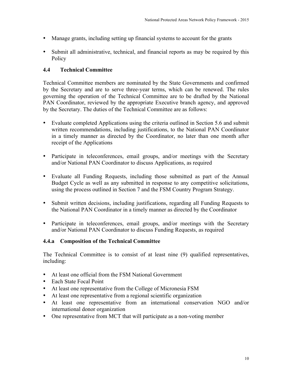- Manage grants, including setting up financial systems to account for the grants
- Submit all administrative, technical, and financial reports as may be required by this **Policy**

## **4.4 Technical Committee**

Technical Committee members are nominated by the State Governments and confirmed by the Secretary and are to serve three-year terms, which can be renewed. The rules governing the operation of the Technical Committee are to be drafted by the National PAN Coordinator, reviewed by the appropriate Executive branch agency, and approved by the Secretary. The duties of the Technical Committee are as follows:

- Evaluate completed Applications using the criteria outlined in Section 5.6 and submit written recommendations, including justifications, to the National PAN Coordinator in a timely manner as directed by the Coordinator, no later than one month after receipt of the Applications
- Participate in teleconferences, email groups, and/or meetings with the Secretary and/or National PAN Coordinator to discuss Applications, as required
- Evaluate all Funding Requests, including those submitted as part of the Annual Budget Cycle as well as any submitted in response to any competitive solicitations, using the process outlined in Section 7 and the FSM Country Program Strategy.
- Submit written decisions, including justifications, regarding all Funding Requests to the National PAN Coordinator in a timely manner as directed by the Coordinator
- Participate in teleconferences, email groups, and/or meetings with the Secretary and/or National PAN Coordinator to discuss Funding Requests, as required

#### **4.4.a Composition of the Technical Committee**

The Technical Committee is to consist of at least nine (9) qualified representatives, including:

- At least one official from the FSM National Government
- Each State Focal Point
- At least one representative from the College of Micronesia FSM
- At least one representative from a regional scientific organization
- At least one representative from an international conservation NGO and/or international donor organization
- One representative from MCT that will participate as a non-voting member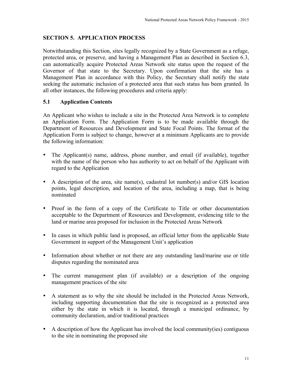# **SECTION 5. APPLICATION PROCESS**

Notwithstanding this Section, sites legally recognized by a State Government as a refuge, protected area, or preserve, and having a Management Plan as described in Section 6.3, can automatically acquire Protected Areas Network site status upon the request of the Governor of that state to the Secretary. Upon confirmation that the site has a Management Plan in accordance with this Policy, the Secretary shall notify the state seeking the automatic inclusion of a protected area that such status has been granted. In all other instances, the following procedures and criteria apply:

## **5.1 Application Contents**

An Applicant who wishes to include a site in the Protected Area Network is to complete an Application Form. The Application Form is to be made available through the Department of Resources and Development and State Focal Points. The format of the Application Form is subject to change, however at a minimum Applicants are to provide the following information:

- The Applicant(s) name, address, phone number, and email (if available), together with the name of the person who has authority to act on behalf of the Applicant with regard to the Application
- A description of the area, site name(s), cadastral lot number(s) and/or GIS location points, legal description, and location of the area, including a map, that is being nominated
- Proof in the form of a copy of the Certificate to Title or other documentation acceptable to the Department of Resources and Development, evidencing title to the land or marine area proposed for inclusion in the Protected Areas Network
- In cases in which public land is proposed, an official letter from the applicable State Government in support of the Management Unit's application
- Information about whether or not there are any outstanding land/marine use or title disputes regarding the nominated area
- The current management plan (if available) or a description of the ongoing management practices of the site
- A statement as to why the site should be included in the Protected Areas Network, including supporting documentation that the site is recognized as a protected area either by the state in which it is located, through a municipal ordinance, by community declaration, and/or traditional practices
- A description of how the Applicant has involved the local community(ies) contiguous to the site in nominating the proposed site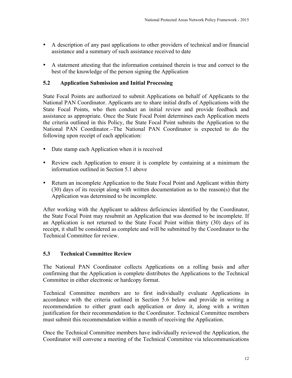- A description of any past applications to other providers of technical and/or financial assistance and a summary of such assistance received to date
- A statement attesting that the information contained therein is true and correct to the best of the knowledge of the person signing the Application

#### **5.2 Application Submission and Initial Processing**

State Focal Points are authorized to submit Applications on behalf of Applicants to the National PAN Coordinator. Applicants are to share initial drafts of Applications with the State Focal Points, who then conduct an initial review and provide feedback and assistance as appropriate. Once the State Focal Point determines each Application meets the criteria outlined in this Policy, the State Focal Point submits the Application to the National PAN Coordinator. The National PAN Coordinator is expected to do the following upon receipt of each application:

- Date stamp each Application when it is received
- Review each Application to ensure it is complete by containing at a minimum the information outlined in Section 5.1 above
- Return an incomplete Application to the State Focal Point and Applicant within thirty (30) days of its receipt along with written documentation as to the reason(s) that the Application was determined to be incomplete.

After working with the Applicant to address deficiencies identified by the Coordinator, the State Focal Point may resubmit an Application that was deemed to be incomplete. If an Application is not returned to the State Focal Point within thirty (30) days of its receipt, it shall be considered as complete and will be submitted by the Coordinator to the Technical Committee for review.

#### **5.3 Technical Committee Review**

The National PAN Coordinator collects Applications on a rolling basis and after confirming that the Application is complete distributes the Applications to the Technical Committee in either electronic or hardcopy format.

Technical Committee members are to first individually evaluate Applications in accordance with the criteria outlined in Section 5.6 below and provide in writing a recommendation to either grant each application or deny it, along with a written justification for their recommendation to the Coordinator. Technical Committee members must submit this recommendation within a month of receiving the Application.

Once the Technical Committee members have individually reviewed the Application, the Coordinator will convene a meeting of the Technical Committee via telecommunications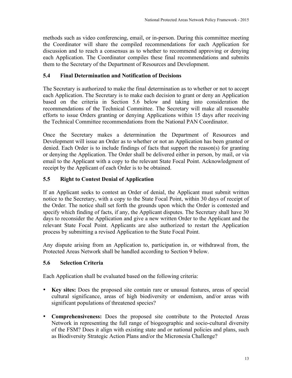methods such as video conferencing, email, or in-person. During this committee meeting the Coordinator will share the compiled recommendations for each Application for discussion and to reach a consensus as to whether to recommend approving or denying each Application. The Coordinator compiles these final recommendations and submits them to the Secretary of the Department of Resources and Development.

# **5.4 Final Determination and Notification of Decisions**

The Secretary is authorized to make the final determination as to whether or not to accept each Application. The Secretary is to make each decision to grant or deny an Application based on the criteria in Section 5.6 below and taking into consideration the recommendations of the Technical Committee. The Secretary will make all reasonable efforts to issue Orders granting or denying Applications within 15 days after receiving the Technical Committee recommendations from the National PAN Coordinator.

Once the Secretary makes a determination the Department of Resources and Development will issue an Order as to whether or not an Application has been granted or denied. Each Order is to include findings of facts that support the reason(s) for granting or denying the Application. The Order shall be delivered either in person, by mail, or via email to the Applicant with a copy to the relevant State Focal Point. Acknowledgment of receipt by the Applicant of each Order is to be obtained.

# **5.5 Right to Contest Denial of Application**

If an Applicant seeks to contest an Order of denial, the Applicant must submit written notice to the Secretary, with a copy to the State Focal Point, within 30 days of receipt of the Order. The notice shall set forth the grounds upon which the Order is contested and specify which finding of facts, if any, the Applicant disputes. The Secretary shall have 30 days to reconsider the Application and give a new written Order to the Applicant and the relevant State Focal Point. Applicants are also authorized to restart the Application process by submitting a revised Application to the State Focal Point.

Any dispute arising from an Application to, participation in, or withdrawal from, the Protected Areas Network shall be handled according to Section 9 below.

# **5.6 Selection Criteria**

Each Application shall be evaluated based on the following criteria:

- **Key sites:** Does the proposed site contain rare or unusual features, areas of special cultural significance, areas of high biodiversity or endemism, and/or areas with significant populations of threatened species?
- **Comprehensiveness:** Does the proposed site contribute to the Protected Areas Network in representing the full range of biogeographic and socio-cultural diversity of the FSM? Does it align with existing state and or national policies and plans, such as Biodiversity Strategic Action Plans and/or the Micronesia Challenge?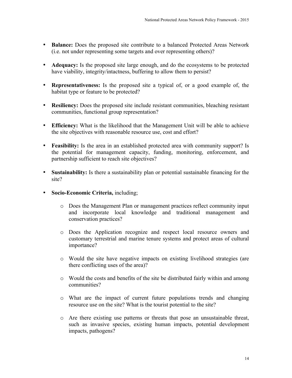- **Balance:** Does the proposed site contribute to a balanced Protected Areas Network (i.e. not under representing some targets and over representing others)?
- **Adequacy:** Is the proposed site large enough, and do the ecosystems to be protected have viability, integrity/intactness, buffering to allow them to persist?
- **Representativeness:** Is the proposed site a typical of, or a good example of, the habitat type or feature to be protected?
- **Resiliency:** Does the proposed site include resistant communities, bleaching resistant communities, functional group representation?
- **Efficiency:** What is the likelihood that the Management Unit will be able to achieve the site objectives with reasonable resource use, cost and effort?
- **Feasibility:** Is the area in an established protected area with community support? Is the potential for management capacity, funding, monitoring, enforcement, and partnership sufficient to reach site objectives?
- **Sustainability:** Is there a sustainability plan or potential sustainable financing for the site?
- **Socio-Economic Criteria,** including;
	- o Does the Management Plan or management practices reflect community input and incorporate local knowledge and traditional management and conservation practices?
	- o Does the Application recognize and respect local resource owners and customary terrestrial and marine tenure systems and protect areas of cultural importance?
	- o Would the site have negative impacts on existing livelihood strategies (are there conflicting uses of the area)?
	- o Would the costs and benefits of the site be distributed fairly within and among communities?
	- o What are the impact of current future populations trends and changing resource use on the site? What is the tourist potential to the site?
	- o Are there existing use patterns or threats that pose an unsustainable threat, such as invasive species, existing human impacts, potential development impacts, pathogens?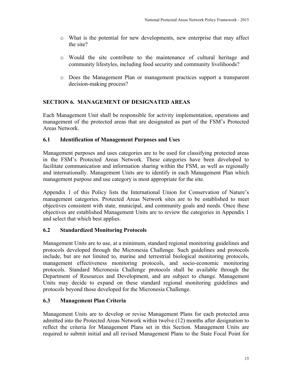- o What is the potential for new developments, new enterprise that may affect the site?
- o Would the site contribute to the maintenance of cultural heritage and community lifestyles, including food security and community livelihoods?
- o Does the Management Plan or management practices support a transparent decision-making process?

## **SECTION 6. MANAGEMENT OF DESIGNATED AREAS**

Each Management Unit shall be responsible for activity implementation, operations and management of the protected areas that are designated as part of the FSM's Protected Areas Network.

#### **6.1 Identification of Management Purposes and Uses**

Management purposes and uses categories are to be used for classifying protected areas in the FSM's Protected Areas Network. These categories have been developed to facilitate communication and information sharing within the FSM, as well as regionally and internationally. Management Units are to identify in each Management Plan which management purpose and use category is most appropriate for the site.

Appendix 1 of this Policy lists the International Union for Conservation of Nature's management categories. Protected Areas Network sites are to be established to meet objectives consistent with state, municipal, and community goals and needs. Once these objectives are established Management Units are to review the categories in Appendix 1 and select that which best applies.

## **6.2 Standardized Monitoring Protocols**

Management Units are to use, at a minimum, standard regional monitoring guidelines and protocols developed through the Micronesia Challenge. Such guidelines and protocols include, but are not limited to, marine and terrestrial biological monitoring protocols, management effectiveness monitoring protocols, and socio-economic monitoring protocols. Standard Micronesia Challenge protocols shall be available through the Department of Resources and Development, and are subject to change. Management Units may decide to expand on these standard regional monitoring guidelines and protocols beyond those developed for the Micronesia Challenge.

## **6.3 Management Plan Criteria**

Management Units are to develop or revise Management Plans for each protected area admitted into the Protected Areas Network within twelve (12) months after designation to reflect the criteria for Management Plans set in this Section. Management Units are required to submit initial and all revised Management Plans to the State Focal Point for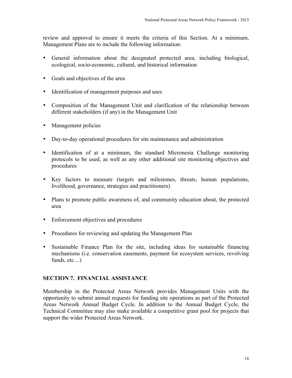review and approval to ensure it meets the criteria of this Section. At a minimum, Management Plans are to include the following information:

- General information about the designated protected area, including biological, ecological, socio-economic, cultural, and historical information
- Goals and objectives of the area
- Identification of management purposes and uses
- Composition of the Management Unit and clarification of the relationship between different stakeholders (if any) in the Management Unit
- Management policies
- Day-to-day operational procedures for site maintenance and administration
- Identification of at a minimum, the standard Micronesia Challenge monitoring protocols to be used, as well as any other additional site monitoring objectives and procedures
- Key factors to measure (targets and milestones, threats, human populations, livelihood, governance, strategies and practitioners)
- Plans to promote public awareness of, and community education about, the protected area
- Enforcement objectives and procedures
- Procedures for reviewing and updating the Management Plan
- Sustainable Finance Plan for the site, including ideas for sustainable financing mechanisms (i.e. conservation easements, payment for ecosystem services, revolving funds, etc…)

## **SECTION 7. FINANCIAL ASSISTANCE**

Membership in the Protected Areas Network provides Management Units with the opportunity to submit annual requests for funding site operations as part of the Protected Areas Network Annual Budget Cycle. In addition to the Annual Budget Cycle, the Technical Committee may also make available a competitive grant pool for projects that support the wider Protected Areas Network.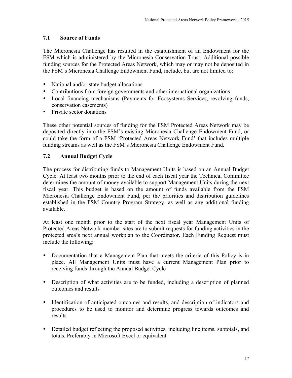# **7.1 Source of Funds**

The Micronesia Challenge has resulted in the establishment of an Endowment for the FSM which is administered by the Micronesia Conservation Trust. Additional possible funding sources for the Protected Areas Network, which may or may not be deposited in the FSM's Micronesia Challenge Endowment Fund, include, but are not limited to:

- National and/or state budget allocations
- Contributions from foreign governments and other international organizations
- Local financing mechanisms (Payments for Ecosystems Services, revolving funds, conservation easements)
- Private sector donations

These other potential sources of funding for the FSM Protected Areas Network may be deposited directly into the FSM's existing Micronesia Challenge Endowment Fund, or could take the form of a FSM 'Protected Areas Network Fund' that includes multiple funding streams as well as the FSM's Micronesia Challenge Endowment Fund.

# **7.2 Annual Budget Cycle**

The process for distributing funds to Management Units is based on an Annual Budget Cycle. At least two months prior to the end of each fiscal year the Technical Committee determines the amount of money available to support Management Units during the next fiscal year. This budget is based on the amount of funds available from the FSM Micronesia Challenge Endowment Fund, per the priorities and distribution guidelines established in the FSM Country Program Strategy, as well as any additional funding available.

At least one month prior to the start of the next fiscal year Management Units of Protected Areas Network member sites are to submit requests for funding activities in the protected area's next annual workplan to the Coordinator. Each Funding Request must include the following:

- Documentation that a Management Plan that meets the criteria of this Policy is in place. All Management Units must have a current Management Plan prior to receiving funds through the Annual Budget Cycle
- Description of what activities are to be funded, including a description of planned outcomes and results
- Identification of anticipated outcomes and results, and description of indicators and procedures to be used to monitor and determine progress towards outcomes and results
- Detailed budget reflecting the proposed activities, including line items, subtotals, and totals. Preferably in Microsoft Excel or equivalent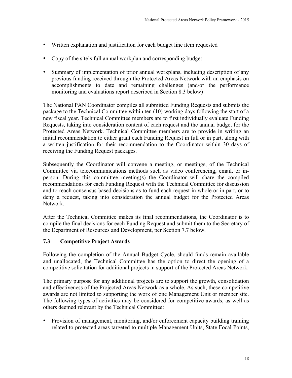- Written explanation and justification for each budget line item requested
- Copy of the site's full annual workplan and corresponding budget
- Summary of implementation of prior annual workplans, including description of any previous funding received through the Protected Areas Network with an emphasis on accomplishments to date and remaining challenges (and/or the performance monitoring and evaluations report described in Section 8.3 below)

The National PAN Coordinator compiles all submitted Funding Requests and submits the package to the Technical Committee within ten (10) working days following the start of a new fiscal year. Technical Committee members are to first individually evaluate Funding Requests, taking into consideration content of each request and the annual budget for the Protected Areas Network. Technical Committee members are to provide in writing an initial recommendation to either grant each Funding Request in full or in part, along with a written justification for their recommendation to the Coordinator within 30 days of receiving the Funding Request packages.

Subsequently the Coordinator will convene a meeting, or meetings, of the Technical Committee via telecommunications methods such as video conferencing, email, or inperson. During this committee meeting(s) the Coordinator will share the compiled recommendations for each Funding Request with the Technical Committee for discussion and to reach consensus-based decisions as to fund each request in whole or in part, or to deny a request, taking into consideration the annual budget for the Protected Areas Network.

After the Technical Committee makes its final recommendations, the Coordinator is to compile the final decisions for each Funding Request and submit them to the Secretary of the Department of Resources and Development, per Section 7.7 below.

## **7.3 Competitive Project Awards**

Following the completion of the Annual Budget Cycle, should funds remain available and unallocated, the Technical Committee has the option to direct the opening of a competitive solicitation for additional projects in support of the Protected Areas Network.

The primary purpose for any additional projects are to support the growth, consolidation and effectiveness of the Projected Areas Network as a whole. As such, these competitive awards are not limited to supporting the work of one Management Unit or member site. The following types of activities may be considered for competitive awards, as well as others deemed relevant by the Technical Committee:

• Provision of management, monitoring, and/or enforcement capacity building training related to protected areas targeted to multiple Management Units, State Focal Points,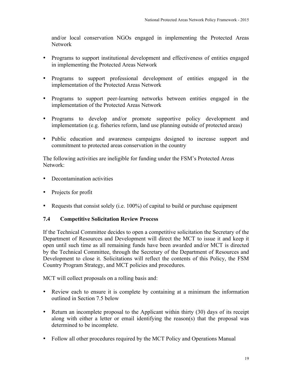and/or local conservation NGOs engaged in implementing the Protected Areas Network

- Programs to support institutional development and effectiveness of entities engaged in implementing the Protected Areas Network
- Programs to support professional development of entities engaged in the implementation of the Protected Areas Network
- Programs to support peer-learning networks between entities engaged in the implementation of the Protected Areas Network
- Programs to develop and/or promote supportive policy development and implementation (e.g. fisheries reform, land use planning outside of protected areas)
- Public education and awareness campaigns designed to increase support and commitment to protected areas conservation in the country

The following activities are ineligible for funding under the FSM's Protected Areas Network:

- Decontamination activities
- Projects for profit
- Requests that consist solely (i.e. 100%) of capital to build or purchase equipment

## **7.4 Competitive Solicitation Review Process**

If the Technical Committee decides to open a competitive solicitation the Secretary of the Department of Resources and Development will direct the MCT to issue it and keep it open until such time as all remaining funds have been awarded and/or MCT is directed by the Technical Committee, through the Secretary of the Department of Resources and Development to close it. Solicitations will reflect the contents of this Policy, the FSM Country Program Strategy, and MCT policies and procedures.

MCT will collect proposals on a rolling basis and:

- Review each to ensure it is complete by containing at a minimum the information outlined in Section 7.5 below
- Return an incomplete proposal to the Applicant within thirty (30) days of its receipt along with either a letter or email identifying the reason(s) that the proposal was determined to be incomplete.
- Follow all other procedures required by the MCT Policy and Operations Manual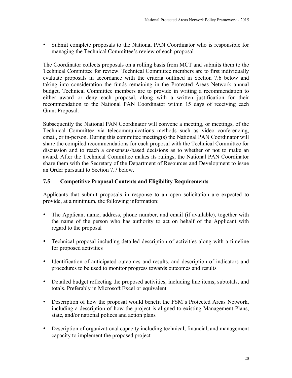• Submit complete proposals to the National PAN Coordinator who is responsible for managing the Technical Committee's review of each proposal

The Coordinator collects proposals on a rolling basis from MCT and submits them to the Technical Committee for review. Technical Committee members are to first individually evaluate proposals in accordance with the criteria outlined in Section 7.6 below and taking into consideration the funds remaining in the Protected Areas Network annual budget. Technical Committee members are to provide in writing a recommendation to either award or deny each proposal, along with a written justification for their recommendation to the National PAN Coordinator within 15 days of receiving each Grant Proposal.

Subsequently the National PAN Coordinator will convene a meeting, or meetings, of the Technical Committee via telecommunications methods such as video conferencing, email, or in-person. During this committee meeting(s) the National PAN Coordinator will share the compiled recommendations for each proposal with the Technical Committee for discussion and to reach a consensus-based decisions as to whether or not to make an award. After the Technical Committee makes its rulings, the National PAN Coordinator share them with the Secretary of the Department of Resources and Development to issue an Order pursuant to Section 7.7 below.

## **7.5 Competitive Proposal Contents and Eligibility Requirements**

Applicants that submit proposals in response to an open solicitation are expected to provide, at a minimum, the following information:

- The Applicant name, address, phone number, and email (if available), together with the name of the person who has authority to act on behalf of the Applicant with regard to the proposal
- Technical proposal including detailed description of activities along with a timeline for proposed activities
- Identification of anticipated outcomes and results, and description of indicators and procedures to be used to monitor progress towards outcomes and results
- Detailed budget reflecting the proposed activities, including line items, subtotals, and totals. Preferably in Microsoft Excel or equivalent
- Description of how the proposal would benefit the FSM's Protected Areas Network, including a description of how the project is aligned to existing Management Plans, state, and/or national polices and action plans
- Description of organizational capacity including technical, financial, and management capacity to implement the proposed project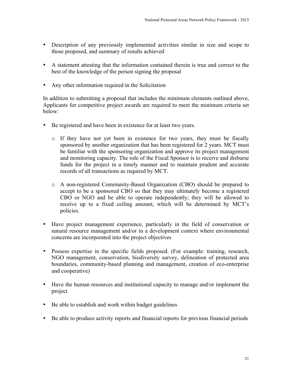- Description of any previously implemented activities similar in size and scope to those proposed, and summary of results achieved
- A statement attesting that the information contained therein is true and correct to the best of the knowledge of the person signing the proposal
- Any other information required in the Solicitation

In addition to submitting a proposal that includes the minimum elements outlined above, Applicants for competitive project awards are required to meet the minimum criteria set below:

- Be registered and have been in existence for at least two years.
	- o If they have not yet been in existence for two years, they must be fiscally sponsored by another organization that has been registered for 2 years. MCT must be familiar with the sponsoring organization and approve its project management and monitoring capacity. The role of the Fiscal Sponsor is to receive and disburse funds for the project in a timely manner and to maintain prudent and accurate records of all transactions as required by MCT.
	- o A non-registered Community-Based Organization (CBO) should be prepared to accept to be a sponsored CBO so that they may ultimately become a registered CBO or NGO and be able to operate independently; they will be allowed to receive up to a fixed ceiling amount, which will be determined by MCT's policies.
- Have project management experience, particularly in the field of conservation or natural resource management and/or in a development context where environmental concerns are incorporated into the project objectives
- Possess expertise in the specific fields proposed. (For example: training, research, NGO management, conservation, biodiversity survey, delineation of protected area boundaries, community-based planning and management, creation of eco-enterprise and cooperative)
- Have the human resources and institutional capacity to manage and/or implement the project
- Be able to establish and work within budget guidelines
- Be able to produce activity reports and financial reports for previous financial periods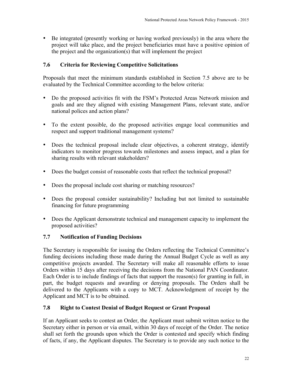• Be integrated (presently working or having worked previously) in the area where the project will take place, and the project beneficiaries must have a positive opinion of the project and the organization(s) that will implement the project

# **7.6 Criteria for Reviewing Competitive Solicitations**

Proposals that meet the minimum standards established in Section 7.5 above are to be evaluated by the Technical Committee according to the below criteria:

- Do the proposed activities fit with the FSM's Protected Areas Network mission and goals and are they aligned with existing Management Plans, relevant state, and/or national polices and action plans?
- To the extent possible, do the proposed activities engage local communities and respect and support traditional management systems?
- Does the technical proposal include clear objectives, a coherent strategy, identify indicators to monitor progress towards milestones and assess impact, and a plan for sharing results with relevant stakeholders?
- Does the budget consist of reasonable costs that reflect the technical proposal?
- Does the proposal include cost sharing or matching resources?
- Does the proposal consider sustainability? Including but not limited to sustainable financing for future programming
- Does the Applicant demonstrate technical and management capacity to implement the proposed activities?

## **7.7 Notification of Funding Decisions**

The Secretary is responsible for issuing the Orders reflecting the Technical Committee's funding decisions including those made during the Annual Budget Cycle as well as any competitive projects awarded. The Secretary will make all reasonable efforts to issue Orders within 15 days after receiving the decisions from the National PAN Coordinator. Each Order is to include findings of facts that support the reason(s) for granting in full, in part, the budget requests and awarding or denying proposals. The Orders shall be delivered to the Applicants with a copy to MCT. Acknowledgment of receipt by the Applicant and MCT is to be obtained.

## **7.8 Right to Contest Denial of Budget Request or Grant Proposal**

If an Applicant seeks to contest an Order, the Applicant must submit written notice to the Secretary either in person or via email, within 30 days of receipt of the Order. The notice shall set forth the grounds upon which the Order is contested and specify which finding of facts, if any, the Applicant disputes. The Secretary is to provide any such notice to the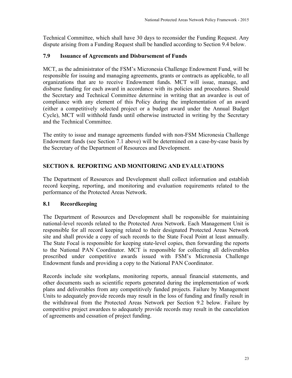Technical Committee, which shall have 30 days to reconsider the Funding Request. Any dispute arising from a Funding Request shall be handled according to Section 9.4 below.

## **7.9 Issuance of Agreements and Disbursement of Funds**

MCT, as the administrator of the FSM's Micronesia Challenge Endowment Fund, will be responsible for issuing and managing agreements, grants or contracts as applicable, to all organizations that are to receive Endowment funds. MCT will issue, manage, and disburse funding for each award in accordance with its policies and procedures. Should the Secretary and Technical Committee determine in writing that an awardee is out of compliance with any element of this Policy during the implementation of an award (either a competitively selected project or a budget award under the Annual Budget Cycle), MCT will withhold funds until otherwise instructed in writing by the Secretary and the Technical Committee.

The entity to issue and manage agreements funded with non-FSM Micronesia Challenge Endowment funds (see Section 7.1 above) will be determined on a case-by-case basis by the Secretary of the Department of Resources and Development.

## **SECTION 8. REPORTING AND MONITORING AND EVALUATIONS**

The Department of Resources and Development shall collect information and establish record keeping, reporting, and monitoring and evaluation requirements related to the performance of the Protected Areas Network.

## **8.1 Recordkeeping**

The Department of Resources and Development shall be responsible for maintaining national-level records related to the Protected Area Network. Each Management Unit is responsible for all record keeping related to their designated Protected Areas Network site and shall provide a copy of such records to the State Focal Point at least annually. The State Focal is responsible for keeping state-level copies, then forwarding the reports to the National PAN Coordinator. MCT is responsible for collecting all deliverables proscribed under competitive awards issued with FSM's Micronesia Challenge Endowment funds and providing a copy to the National PAN Coordinator.

Records include site workplans, monitoring reports, annual financial statements, and other documents such as scientific reports generated during the implementation of work plans and deliverables from any competitively funded projects. Failure by Management Units to adequately provide records may result in the loss of funding and finally result in the withdrawal from the Protected Areas Network per Section 9.2 below. Failure by competitive project awardees to adequately provide records may result in the cancelation of agreements and cessation of project funding.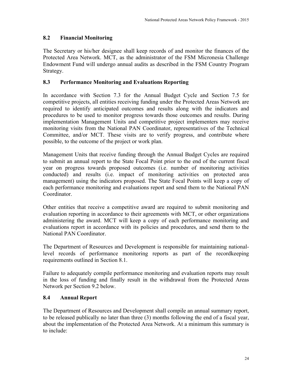## **8.2 Financial Monitoring**

The Secretary or his/her designee shall keep records of and monitor the finances of the Protected Area Network. MCT, as the administrator of the FSM Micronesia Challenge Endowment Fund will undergo annual audits as described in the FSM Country Program Strategy.

## **8.3 Performance Monitoring and Evaluations Reporting**

In accordance with Section 7.3 for the Annual Budget Cycle and Section 7.5 for competitive projects, all entities receiving funding under the Protected Areas Network are required to identify anticipated outcomes and results along with the indicators and procedures to be used to monitor progress towards those outcomes and results. During implementation Management Units and competitive project implementers may receive monitoring visits from the National PAN Coordinator, representatives of the Technical Committee, and/or MCT. These visits are to verify progress, and contribute where possible, to the outcome of the project or work plan.

Management Units that receive funding through the Annual Budget Cycles are required to submit an annual report to the State Focal Point prior to the end of the current fiscal year on progress towards proposed outcomes (i.e. number of monitoring activities conducted) and results (i.e. impact of monitoring activities on protected area management) using the indicators proposed. The State Focal Points will keep a copy of each performance monitoring and evaluations report and send them to the National PAN Coordinator.

Other entities that receive a competitive award are required to submit monitoring and evaluation reporting in accordance to their agreements with MCT, or other organizations administering the award. MCT will keep a copy of each performance monitoring and evaluations report in accordance with its policies and procedures, and send them to the National PAN Coordinator.

The Department of Resources and Development is responsible for maintaining nationallevel records of performance monitoring reports as part of the recordkeeping requirements outlined in Section 8.1.

Failure to adequately compile performance monitoring and evaluation reports may result in the loss of funding and finally result in the withdrawal from the Protected Areas Network per Section 9.2 below.

## **8.4 Annual Report**

The Department of Resources and Development shall compile an annual summary report, to be released publically no later than three (3) months following the end of a fiscal year, about the implementation of the Protected Area Network. At a minimum this summary is to include: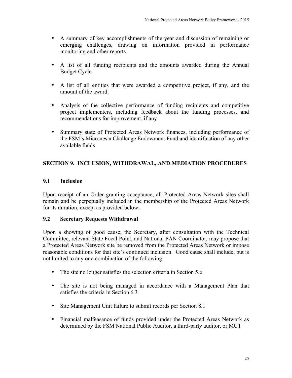- A summary of key accomplishments of the year and discussion of remaining or emerging challenges, drawing on information provided in performance monitoring and other reports
- A list of all funding recipients and the amounts awarded during the Annual Budget Cycle
- A list of all entities that were awarded a competitive project, if any, and the amount of the award.
- Analysis of the collective performance of funding recipients and competitive project implementers, including feedback about the funding processes, and recommendations for improvement, if any
- Summary state of Protected Areas Network finances, including performance of the FSM's Micronesia Challenge Endowment Fund and identification of any other available funds

# **SECTION 9. INCLUSION, WITHDRAWAL, AND MEDIATION PROCEDURES**

## **9.1 Inclusion**

Upon receipt of an Order granting acceptance, all Protected Areas Network sites shall remain and be perpetually included in the membership of the Protected Areas Network for its duration, except as provided below.

## **9.2 Secretary Requests Withdrawal**

Upon a showing of good cause, the Secretary, after consultation with the Technical Committee, relevant State Focal Point, and National PAN Coordinator, may propose that a Protected Areas Network site be removed from the Protected Areas Network or impose reasonable conditions for that site's continued inclusion. Good cause shall include, but is not limited to any or a combination of the following:

- The site no longer satisfies the selection criteria in Section 5.6
- The site is not being managed in accordance with a Management Plan that satisfies the criteria in Section 6.3
- Site Management Unit failure to submit records per Section 8.1
- Financial malfeasance of funds provided under the Protected Areas Network as determined by the FSM National Public Auditor, a third-party auditor, or MCT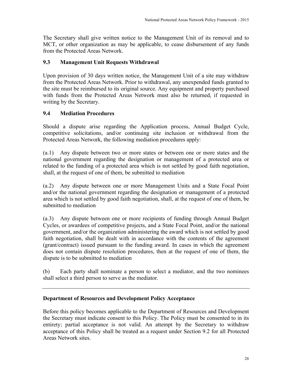The Secretary shall give written notice to the Management Unit of its removal and to MCT, or other organization as may be applicable, to cease disbursement of any funds from the Protected Areas Network.

## **9.3 Management Unit Requests Withdrawal**

Upon provision of 30 days written notice, the Management Unit of a site may withdraw from the Protected Areas Network. Prior to withdrawal, any unexpended funds granted to the site must be reimbursed to its original source. Any equipment and property purchased with funds from the Protected Areas Network must also be returned, if requested in writing by the Secretary.

#### **9.4 Mediation Procedures**

Should a dispute arise regarding the Application process, Annual Budget Cycle, competitive solicitations, and/or continuing site inclusion or withdrawal from the Protected Areas Network, the following mediation procedures apply:

(a.1) Any dispute between two or more states or between one or more states and the national government regarding the designation or management of a protected area or related to the funding of a protected area which is not settled by good faith negotiation, shall, at the request of one of them, be submitted to mediation

(a.2) Any dispute between one or more Management Units and a State Focal Point and/or the national government regarding the designation or management of a protected area which is not settled by good faith negotiation, shall, at the request of one of them, be submitted to mediation

(a.3) Any dispute between one or more recipients of funding through Annual Budget Cycles, or awardees of competitive projects, and a State Focal Point, and/or the national government, and/or the organization administering the award which is not settled by good faith negotiation, shall be dealt with in accordance with the contents of the agreement (grant/contract) issued pursuant to the funding award. In cases in which the agreement does not contain dispute resolution procedures, then at the request of one of them, the dispute is to be submitted to mediation

(b) Each party shall nominate a person to select a mediator, and the two nominees shall select a third person to serve as the mediator.

#### **Department of Resources and Development Policy Acceptance**

Before this policy becomes applicable to the Department of Resources and Development the Secretary must indicate consent to this Policy. The Policy must be consented to in its entirety; partial acceptance is not valid. An attempt by the Secretary to withdraw acceptance of this Policy shall be treated as a request under Section 9.2 for all Protected Areas Network sites.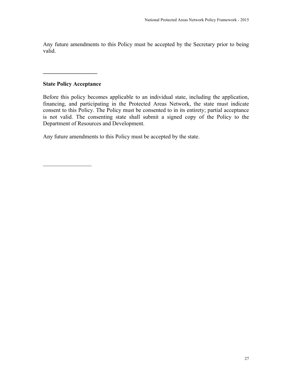Any future amendments to this Policy must be accepted by the Secretary prior to being valid.

## **State Policy Acceptance**

 $\frac{1}{2}$  ,  $\frac{1}{2}$  ,  $\frac{1}{2}$  ,  $\frac{1}{2}$  ,  $\frac{1}{2}$  ,  $\frac{1}{2}$  ,  $\frac{1}{2}$  ,  $\frac{1}{2}$  ,  $\frac{1}{2}$ 

**\_\_\_\_\_\_\_\_\_\_\_\_\_\_\_\_\_\_\_**

Before this policy becomes applicable to an individual state, including the application, financing, and participating in the Protected Areas Network, the state must indicate consent to this Policy. The Policy must be consented to in its entirety; partial acceptance is not valid. The consenting state shall submit a signed copy of the Policy to the Department of Resources and Development.

Any future amendments to this Policy must be accepted by the state.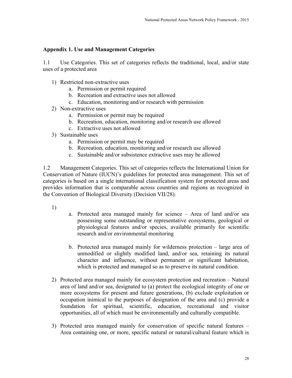#### **Appendix 1. Use and Management Categories**

1.1 Use Categories. This set of categories reflects the traditional, local, and/or state uses of a protected area

- 1) Restricted non-extractive uses
	- a. Permission or permit required
	- b. Recreation and extractive uses not allowed
	- c. Education, monitoring and/or research with permission
- 2) Non-extractive uses
	- a. Permission or permit may be required
	- b. Recreation, education, monitoring and/or research use allowed
	- c. Extractive uses not allowed
- 3) Sustainable uses
	- a. Permission or permit may be required
	- b. Recreation, education, monitoring and/or research use allowed
	- c. Sustainable and/or subsistence extractive uses may be allowed

1.2 Management Categories. This set of categories reflects the International Union for Conservation of Nature (IUCN)'s guidelines for protected area management. This set of categories is based on a single international classification system for protected areas and provides information that is comparable across countries and regions as recognized in the Convention of Biological Diversity (Decision VII/28).

- 1)
- a. Protected area managed mainly for science Area of land and/or sea possessing some outstanding or representative ecosystems, geological or physiological features and/or species, available primarily for scientific research and/or environmental monitoring
- b. Protected area managed mainly for wilderness protection large area of unmodified or slightly modified land, and/or sea, retaining its natural character and influence, without permanent or significant habitation, which is protected and managed so as to preserve its natural condition.
- 2) Protected area managed mainly for ecosystem protection and recreation Natural area of land and/or sea, designated to (a) protect the ecological integrity of one or more ecosystems for present and future generations, (b) exclude exploitation or occupation inimical to the purposes of designation of the area and (c) provide a foundation for spiritual, scientific, education, recreational and visitor opportunities, all of which must be environmentally and culturally compatible.
- 3) Protected area managed mainly for conservation of specific natural features Area containing one, or more, specific natural or natural/cultural feature which is